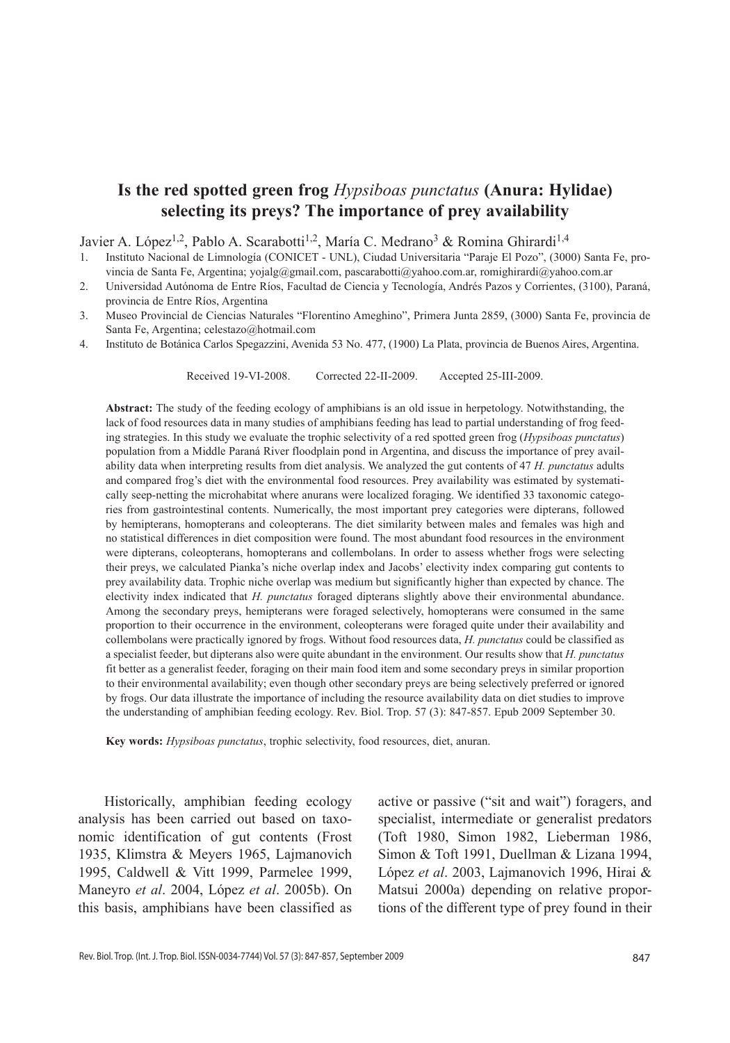# **Is the red spotted green frog** *Hypsiboas punctatus* **(Anura: Hylidae) selecting its preys? The importance of prey availability**

Javier A. López<sup>1,2</sup>, Pablo A. Scarabotti<sup>1,2</sup>, María C. Medrano<sup>3</sup> & Romina Ghirardi<sup>1,4</sup>

- 1. Instituto Nacional de Limnología (CONICET UNL), Ciudad Universitaria "Paraje El Pozo", (3000) Santa Fe, provincia de Santa Fe, Argentina; yojalg@gmail.com, pascarabotti@yahoo.com.ar, romighirardi@yahoo.com.ar
- 2. Universidad Autónoma de Entre Ríos, Facultad de Ciencia y Tecnología, Andrés Pazos y Corrientes, (3100), Paraná, provincia de Entre Ríos, Argentina
- 3. Museo Provincial de Ciencias Naturales "Florentino Ameghino", Primera Junta 2859, (3000) Santa Fe, provincia de Santa Fe, Argentina; celestazo@hotmail.com
- 4. Instituto de Botánica Carlos Spegazzini, Avenida 53 No. 477, (1900) La Plata, provincia de Buenos Aires, Argentina.

Received 19-VI-2008. Corrected 22-II-2009. Accepted 25-III-2009.

**Abstract:** The study of the feeding ecology of amphibians is an old issue in herpetology. Notwithstanding, the lack of food resources data in many studies of amphibians feeding has lead to partial understanding of frog feeding strategies. In this study we evaluate the trophic selectivity of a red spotted green frog (*Hypsiboas punctatus*) population from a Middle Paraná River floodplain pond in Argentina, and discuss the importance of prey availability data when interpreting results from diet analysis. We analyzed the gut contents of 47 *H. punctatus* adults and compared frog's diet with the environmental food resources. Prey availability was estimated by systematically seep-netting the microhabitat where anurans were localized foraging. We identified 33 taxonomic categories from gastrointestinal contents. Numerically, the most important prey categories were dipterans, followed by hemipterans, homopterans and coleopterans. The diet similarity between males and females was high and no statistical differences in diet composition were found. The most abundant food resources in the environment were dipterans, coleopterans, homopterans and collembolans. In order to assess whether frogs were selecting their preys, we calculated Pianka's niche overlap index and Jacobs' electivity index comparing gut contents to prey availability data. Trophic niche overlap was medium but significantly higher than expected by chance. The electivity index indicated that *H. punctatus* foraged dipterans slightly above their environmental abundance. Among the secondary preys, hemipterans were foraged selectively, homopterans were consumed in the same proportion to their occurrence in the environment, coleopterans were foraged quite under their availability and collembolans were practically ignored by frogs. Without food resources data, *H. punctatus* could be classified as a specialist feeder, but dipterans also were quite abundant in the environment. Our results show that *H. punctatus* fit better as a generalist feeder, foraging on their main food item and some secondary preys in similar proportion to their environmental availability; even though other secondary preys are being selectively preferred or ignored by frogs. Our data illustrate the importance of including the resource availability data on diet studies to improve the understanding of amphibian feeding ecology. Rev. Biol. Trop. 57 (3): 847-857. Epub 2009 September 30.

**Key words:** *Hypsiboas punctatus*, trophic selectivity, food resources, diet, anuran.

Historically, amphibian feeding ecology analysis has been carried out based on taxonomic identification of gut contents (Frost 1935, Klimstra & Meyers 1965, Lajmanovich 1995, Caldwell & Vitt 1999, Parmelee 1999, Maneyro *et al*. 2004, López *et al*. 2005b). On this basis, amphibians have been classified as

active or passive ("sit and wait") foragers, and specialist, intermediate or generalist predators (Toft 1980, Simon 1982, Lieberman 1986, Simon & Toft 1991, Duellman & Lizana 1994, López *et al*. 2003, Lajmanovich 1996, Hirai & Matsui 2000a) depending on relative proportions of the different type of prey found in their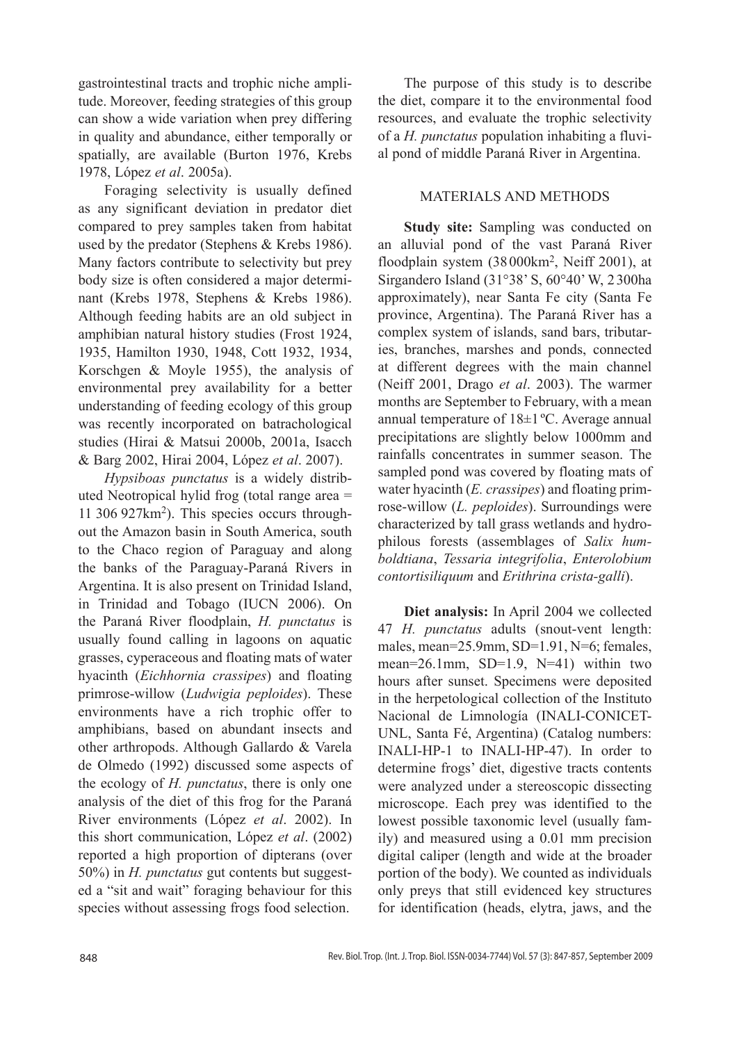gastrointestinal tracts and trophic niche amplitude. Moreover, feeding strategies of this group can show a wide variation when prey differing in quality and abundance, either temporally or spatially, are available (Burton 1976, Krebs 1978, López *et al*. 2005a).

Foraging selectivity is usually defined as any significant deviation in predator diet compared to prey samples taken from habitat used by the predator (Stephens & Krebs 1986). Many factors contribute to selectivity but prey body size is often considered a major determinant (Krebs 1978, Stephens & Krebs 1986). Although feeding habits are an old subject in amphibian natural history studies (Frost 1924, 1935, Hamilton 1930, 1948, Cott 1932, 1934, Korschgen & Moyle 1955), the analysis of environmental prey availability for a better understanding of feeding ecology of this group was recently incorporated on batrachological studies (Hirai & Matsui 2000b, 2001a, Isacch & Barg 2002, Hirai 2004, López *et al*. 2007).

*Hypsiboas punctatus* is a widely distributed Neotropical hylid frog (total range area = 11 306 927km2). This species occurs throughout the Amazon basin in South America, south to the Chaco region of Paraguay and along the banks of the Paraguay-Paraná Rivers in Argentina. It is also present on Trinidad Island, in Trinidad and Tobago (IUCN 2006). On the Paraná River floodplain, *H. punctatus* is usually found calling in lagoons on aquatic grasses, cyperaceous and floating mats of water hyacinth (*Eichhornia crassipes*) and floating primrose-willow (*Ludwigia peploides*). These environments have a rich trophic offer to amphibians, based on abundant insects and other arthropods. Although Gallardo & Varela de Olmedo (1992) discussed some aspects of the ecology of *H. punctatus*, there is only one analysis of the diet of this frog for the Paraná River environments (López *et al*. 2002). In this short communication, López *et al*. (2002) reported a high proportion of dipterans (over 50%) in *H. punctatus* gut contents but suggested a "sit and wait" foraging behaviour for this species without assessing frogs food selection.

The purpose of this study is to describe the diet, compare it to the environmental food resources, and evaluate the trophic selectivity of a *H. punctatus* population inhabiting a fluvial pond of middle Paraná River in Argentina.

## MATERIALS AND METHODS

**Study site:** Sampling was conducted on an alluvial pond of the vast Paraná River floodplain system (38000km2, Neiff 2001), at Sirgandero Island (31°38' S, 60°40' W, 2300ha approximately), near Santa Fe city (Santa Fe province, Argentina). The Paraná River has a complex system of islands, sand bars, tributaries, branches, marshes and ponds, connected at different degrees with the main channel (Neiff 2001, Drago *et al*. 2003). The warmer months are September to February, with a mean annual temperature of 18±1 ºC. Average annual precipitations are slightly below 1000mm and rainfalls concentrates in summer season. The sampled pond was covered by floating mats of water hyacinth (*E. crassipes*) and floating primrose-willow (*L. peploides*). Surroundings were characterized by tall grass wetlands and hydrophilous forests (assemblages of *Salix humboldtiana*, *Tessaria integrifolia*, *Enterolobium contortisiliquum* and *Erithrina crista-galli*).

**Diet analysis:** In April 2004 we collected 47 *H. punctatus* adults (snout-vent length: males, mean=25.9mm, SD=1.91, N=6; females, mean= $26.1$ mm, SD= $1.9$ , N= $41$ ) within two hours after sunset. Specimens were deposited in the herpetological collection of the Instituto Nacional de Limnología (INALI-CONICET-UNL, Santa Fé, Argentina) (Catalog numbers: INALI-HP-1 to INALI-HP-47). In order to determine frogs' diet, digestive tracts contents were analyzed under a stereoscopic dissecting microscope. Each prey was identified to the lowest possible taxonomic level (usually family) and measured using a 0.01 mm precision digital caliper (length and wide at the broader portion of the body). We counted as individuals only preys that still evidenced key structures for identification (heads, elytra, jaws, and the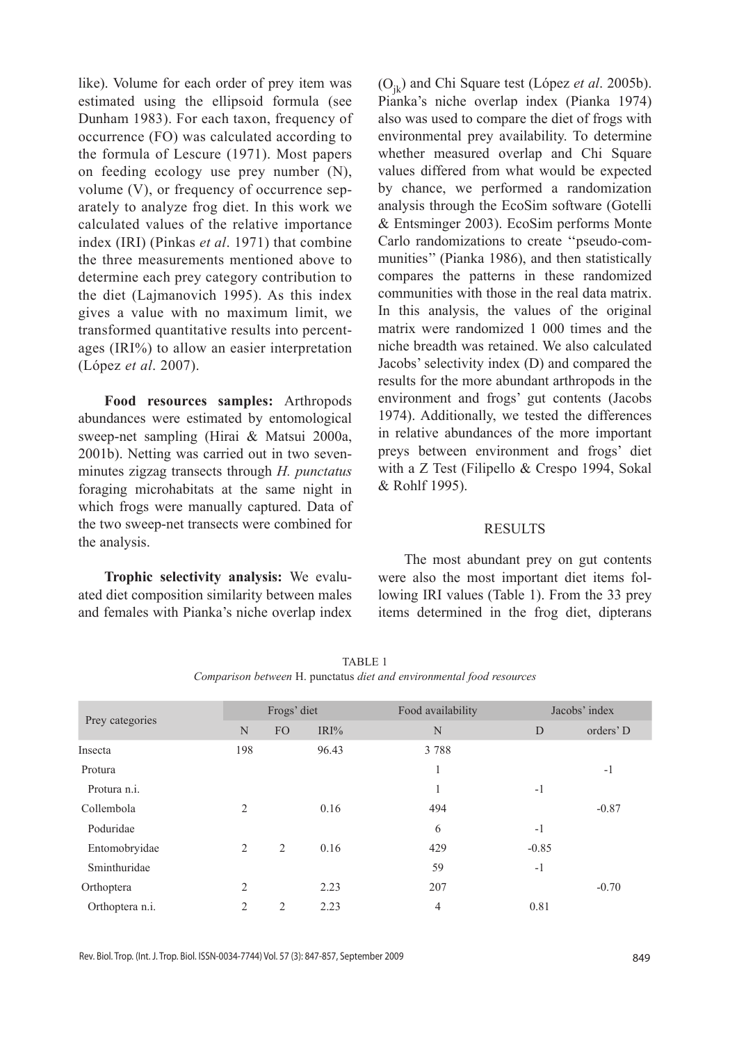like). Volume for each order of prey item was estimated using the ellipsoid formula (see Dunham 1983). For each taxon, frequency of occurrence (FO) was calculated according to the formula of Lescure (1971). Most papers on feeding ecology use prey number (N), volume (V), or frequency of occurrence separately to analyze frog diet. In this work we calculated values of the relative importance index (IRI) (Pinkas *et al*. 1971) that combine the three measurements mentioned above to determine each prey category contribution to the diet (Lajmanovich 1995). As this index gives a value with no maximum limit, we transformed quantitative results into percentages (IRI%) to allow an easier interpretation (López *et al*. 2007).

**Food resources samples:** Arthropods abundances were estimated by entomological sweep-net sampling (Hirai & Matsui 2000a, 2001b). Netting was carried out in two sevenminutes zigzag transects through *H. punctatus* foraging microhabitats at the same night in which frogs were manually captured. Data of the two sweep-net transects were combined for the analysis.

**Trophic selectivity analysis:** We evaluated diet composition similarity between males and females with Pianka's niche overlap index (Ojk) and Chi Square test (López *et al*. 2005b). Pianka's niche overlap index (Pianka 1974) also was used to compare the diet of frogs with environmental prey availability. To determine whether measured overlap and Chi Square values differed from what would be expected by chance, we performed a randomization analysis through the EcoSim software (Gotelli & Entsminger 2003). EcoSim performs Monte Carlo randomizations to create ''pseudo-communities'' (Pianka 1986), and then statistically compares the patterns in these randomized communities with those in the real data matrix. In this analysis, the values of the original matrix were randomized 1 000 times and the niche breadth was retained. We also calculated Jacobs' selectivity index (D) and compared the results for the more abundant arthropods in the environment and frogs' gut contents (Jacobs 1974). Additionally, we tested the differences in relative abundances of the more important preys between environment and frogs' diet with a Z Test (Filipello & Crespo 1994, Sokal & Rohlf 1995).

## **RESULTS**

The most abundant prey on gut contents were also the most important diet items following IRI values (Table 1). From the 33 prey items determined in the frog diet, dipterans

| Prey categories | Frogs' diet    |                |       | Food availability | Jacobs' index |           |
|-----------------|----------------|----------------|-------|-------------------|---------------|-----------|
|                 | N              | FO             | IRI%  | N                 | D             | orders' D |
| Insecta         | 198            |                | 96.43 | 3788              |               |           |
| Protura         |                |                |       | 1                 |               | $-1$      |
| Protura n.i.    |                |                |       | л.                | $-1$          |           |
| Collembola      | $\overline{c}$ |                | 0.16  | 494               |               | $-0.87$   |
| Poduridae       |                |                |       | 6                 | $-1$          |           |
| Entomobryidae   | 2              | $\overline{2}$ | 0.16  | 429               | $-0.85$       |           |
| Sminthuridae    |                |                |       | 59                | $-1$          |           |
| Orthoptera      | 2              |                | 2.23  | 207               |               | $-0.70$   |
| Orthoptera n.i. | 2              | 2              | 2.23  | 4                 | 0.81          |           |
|                 |                |                |       |                   |               |           |

TABLE 1 *Comparison between* H. punctatus *diet and environmental food resources*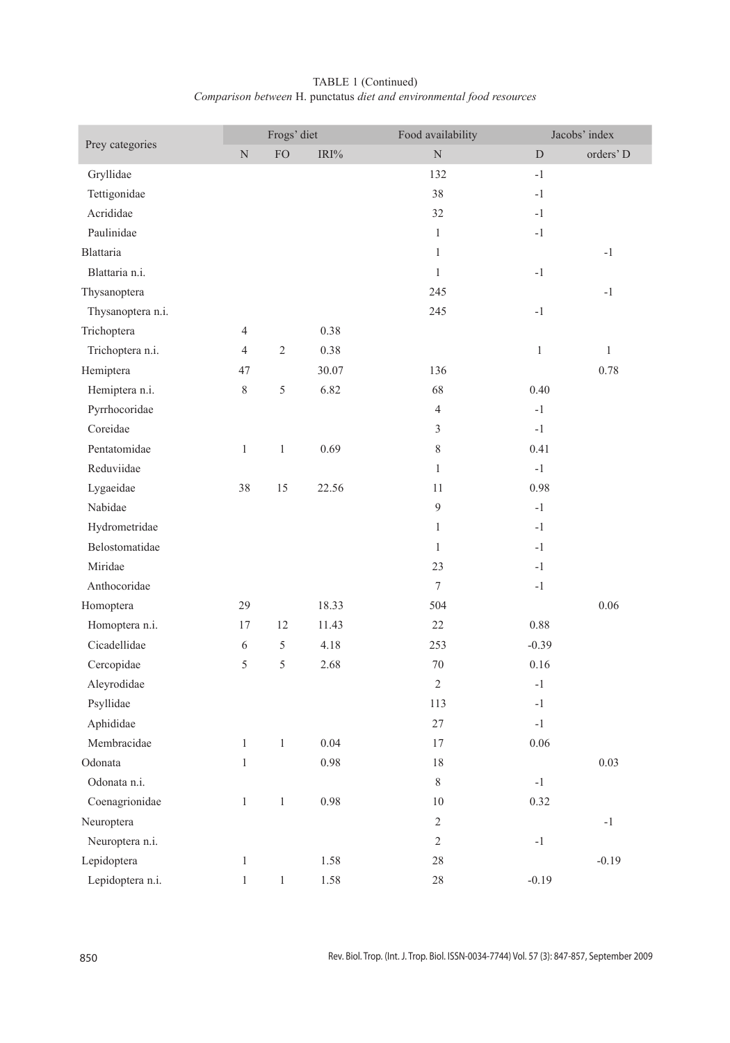|                   | Frogs' diet    |              |          | Food availability |               | Jacobs' index |  |
|-------------------|----------------|--------------|----------|-------------------|---------------|---------------|--|
| Prey categories   | $\mathbf N$    | ${\rm FO}$   | IRI%     | $\mathbf N$       | $\mathbf D$   | orders' D     |  |
| Gryllidae         |                |              |          | 132               | $-1$          |               |  |
| Tettigonidae      |                |              |          | 38                | $-1$          |               |  |
| Acrididae         |                |              |          | 32                | $-1$          |               |  |
| Paulinidae        |                |              |          | $\mathbf{1}$      | $-1$          |               |  |
| <b>Blattaria</b>  |                |              |          | $\mathbf{1}$      |               | $-1$          |  |
| Blattaria n.i.    |                |              |          | $\mathbf{1}$      | $-1$          |               |  |
| Thysanoptera      |                |              |          | 245               |               | $-1$          |  |
| Thysanoptera n.i. |                |              |          | 245               | $-1$          |               |  |
| Trichoptera       | $\overline{4}$ |              | 0.38     |                   |               |               |  |
| Trichoptera n.i.  | $\overline{4}$ | $\sqrt{2}$   | 0.38     |                   | $\mathbf{1}$  | $\mathbf{1}$  |  |
| Hemiptera         | 47             |              | 30.07    | 136               |               | 0.78          |  |
| Hemiptera n.i.    | 8              | $\sqrt{5}$   | 6.82     | 68                | 0.40          |               |  |
| Pyrrhocoridae     |                |              |          | $\overline{4}$    | $-1$          |               |  |
| Coreidae          |                |              |          | $\mathfrak{Z}$    | $-1$          |               |  |
| Pentatomidae      | $\mathbf{1}$   | 1            | 0.69     | 8                 | 0.41          |               |  |
| Reduviidae        |                |              |          | $\mathbf{1}$      | $-1$          |               |  |
| Lygaeidae         | 38             | 15           | 22.56    | 11                | 0.98          |               |  |
| Nabidae           |                |              |          | 9                 | $-1$          |               |  |
| Hydrometridae     |                |              |          | $\mathbf{1}$      | $-1$          |               |  |
| Belostomatidae    |                |              |          | $\mathbf{1}$      | $-1$          |               |  |
| Miridae           |                |              |          | 23                | $-1$          |               |  |
| Anthocoridae      |                |              |          | $7\phantom{.0}$   | $-1$          |               |  |
| Homoptera         | 29             |              | 18.33    | 504               |               | 0.06          |  |
| Homoptera n.i.    | 17             | 12           | 11.43    | 22                | 0.88          |               |  |
| Cicadellidae      | 6              | 5            | 4.18     | 253               | $-0.39$       |               |  |
| Cercopidae        | 5              | 5            | 2.68     | $70\,$            | 0.16          |               |  |
| Aleyrodidae       |                |              |          | $\overline{2}$    | $-1$          |               |  |
| Psyllidae         |                |              |          | 113               | $-1$          |               |  |
| Aphididae         |                |              |          | 27                | $-1$          |               |  |
| Membracidae       | $\mathbf{1}$   | 1            | 0.04     | 17                | 0.06          |               |  |
| Odonata           | $\mathbf{1}$   |              | 0.98     | 18                |               | 0.03          |  |
| Odonata n.i.      |                |              |          | $\,$ $\,$         | $\textbf{-1}$ |               |  |
| Coenagrionidae    | $\mathbf{1}$   | $\,1$        | 0.98     | $10\,$            | 0.32          |               |  |
| Neuroptera        |                |              |          | $\sqrt{2}$        |               | $\textbf{-}1$ |  |
| Neuroptera n.i.   |                |              |          | $\sqrt{2}$        | $-1$          |               |  |
| Lepidoptera       | $\mathbf{1}$   |              | 1.58     | $28\,$            |               | $-0.19$       |  |
| Lepidoptera n.i.  | $\,1$          | $\mathbf{1}$ | $1.58\,$ | $28\,$            | $-0.19$       |               |  |

# TABLE 1 (Continued) *Comparison between* H. punctatus *diet and environmental food resources*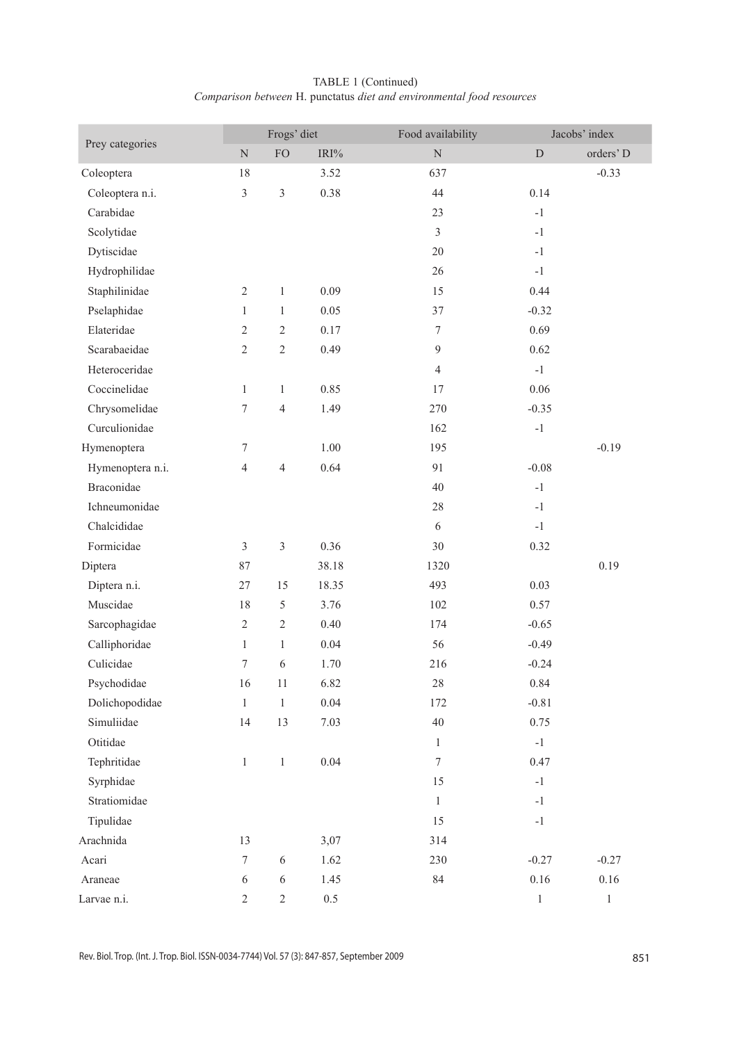| TABLE 1 (Continued) |                                                                       |  |  |  |  |  |  |  |  |
|---------------------|-----------------------------------------------------------------------|--|--|--|--|--|--|--|--|
|                     | Comparison between H. punctatus diet and environmental food resources |  |  |  |  |  |  |  |  |

| Prey categories  | Frogs' diet      |                |         | Food availability |              | Jacobs' index |  |
|------------------|------------------|----------------|---------|-------------------|--------------|---------------|--|
|                  | $\rm N$          | FO             | $IRI\%$ | $\overline{N}$    | $\mathbf D$  | orders' D     |  |
| Coleoptera       | 18               |                | 3.52    | 637               |              | $-0.33$       |  |
| Coleoptera n.i.  | $\mathfrak{Z}$   | $\mathfrak z$  | 0.38    | 44                | 0.14         |               |  |
| Carabidae        |                  |                |         | 23                | $-1$         |               |  |
| Scolytidae       |                  |                |         | $\overline{3}$    | $-1$         |               |  |
| Dytiscidae       |                  |                |         | 20                | $-1$         |               |  |
| Hydrophilidae    |                  |                |         | 26                | $-1$         |               |  |
| Staphilinidae    | $\overline{c}$   | $\mathbf{1}$   | 0.09    | 15                | 0.44         |               |  |
| Pselaphidae      | $\mathbf{1}$     | $\mathbf{1}$   | 0.05    | 37                | $-0.32$      |               |  |
| Elateridae       | $\overline{c}$   | $\sqrt{2}$     | 0.17    | $\tau$            | 0.69         |               |  |
| Scarabaeidae     | $\mathfrak{2}$   | $\overline{2}$ | 0.49    | 9                 | 0.62         |               |  |
| Heteroceridae    |                  |                |         | 4                 | $-1$         |               |  |
| Coccinelidae     | $\mathbf{1}$     | $\mathbf{1}$   | 0.85    | 17                | 0.06         |               |  |
| Chrysomelidae    | 7                | $\overline{4}$ | 1.49    | 270               | $-0.35$      |               |  |
| Curculionidae    |                  |                |         | 162               | $-1$         |               |  |
| Hymenoptera      | 7                |                | 1.00    | 195               |              | $-0.19$       |  |
| Hymenoptera n.i. | $\overline{4}$   | 4              | 0.64    | 91                | $-0.08$      |               |  |
| Braconidae       |                  |                |         | 40                | $-1$         |               |  |
| Ichneumonidae    |                  |                |         | 28                | $-1$         |               |  |
| Chalcididae      |                  |                |         | 6                 | $-1$         |               |  |
| Formicidae       | $\mathfrak{Z}$   | $\mathfrak{Z}$ | 0.36    | 30                | 0.32         |               |  |
| Diptera          | 87               |                | 38.18   | 1320              |              | 0.19          |  |
| Diptera n.i.     | 27               | 15             | 18.35   | 493               | 0.03         |               |  |
| Muscidae         | 18               | 5              | 3.76    | 102               | 0.57         |               |  |
| Sarcophagidae    | $\sqrt{2}$       | $\sqrt{2}$     | 0.40    | 174               | $-0.65$      |               |  |
| Calliphoridae    | $\mathbf{1}$     | $\mathbf{1}$   | 0.04    | 56                | $-0.49$      |               |  |
| Culicidae        | 7                | $\sqrt{6}$     | 1.70    | 216               | $-0.24$      |               |  |
| Psychodidae      | 16               | 11             | 6.82    | 28                | 0.84         |               |  |
| Dolichopodidae   | $\mathbf{1}$     | $\,1\,$        | 0.04    | 172               | $-0.81$      |               |  |
| Simuliidae       | 14               | 13             | 7.03    | $40\,$            | 0.75         |               |  |
| Otitidae         |                  |                |         | $\mathbf{1}$      | $-1$         |               |  |
| Tephritidae      | $\mathbf{1}$     | $\mathbf{1}$   | 0.04    | $\boldsymbol{7}$  | 0.47         |               |  |
| Syrphidae        |                  |                |         | 15                | $^{\rm -1}$  |               |  |
| Stratiomidae     |                  |                |         | $\,1$             | $^{\rm -1}$  |               |  |
| Tipulidae        |                  |                |         | 15                | $-1$         |               |  |
| Arachnida        | 13               |                | 3,07    | 314               |              |               |  |
| Acari            | $\boldsymbol{7}$ | $\sqrt{6}$     | 1.62    | 230               | $-0.27$      | $-0.27$       |  |
| Araneae          | 6                | $\sqrt{6}$     | 1.45    | $\rm 84$          | $0.16\,$     | $0.16\,$      |  |
| Larvae n.i.      | $\overline{c}$   | $\sqrt{2}$     | $0.5\,$ |                   | $\mathbf{1}$ | $\,1$         |  |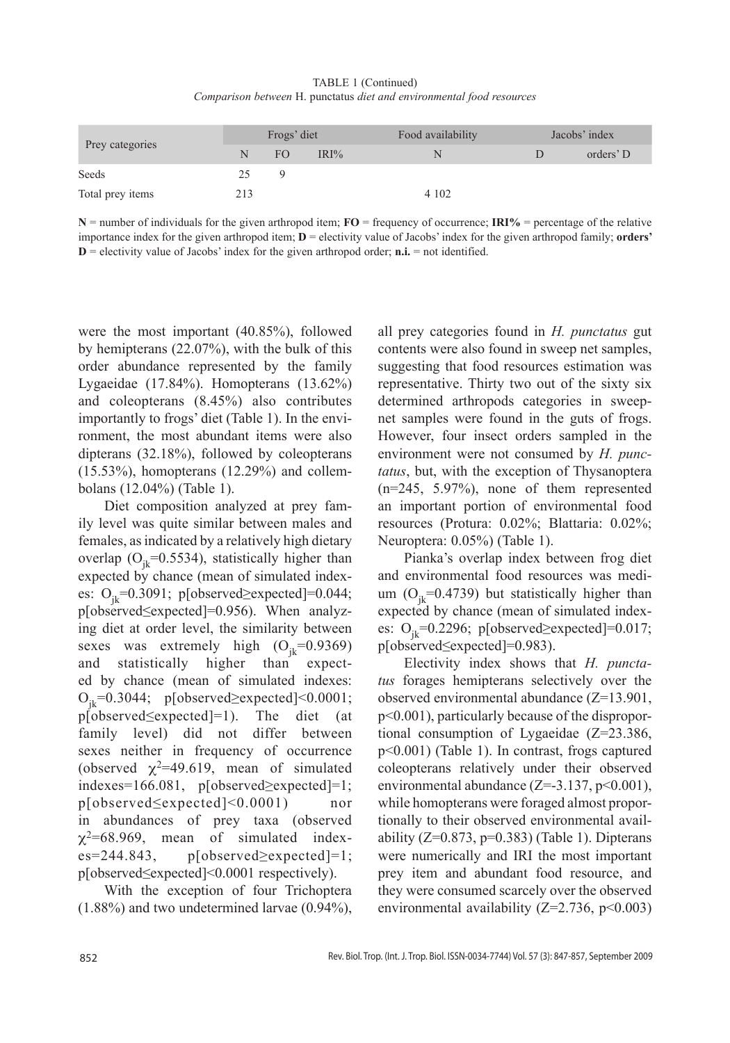TABLE 1 (Continued) *Comparison between* H. punctatus *diet and environmental food resources*

| Prey categories  | Frogs' diet |     |      | Food availability | Jacobs' index |           |
|------------------|-------------|-----|------|-------------------|---------------|-----------|
|                  | N           | FO. | IRI% | .N                |               | orders' D |
| Seeds            | 25          | Q   |      |                   |               |           |
| Total prey items | 213         |     |      | 4 1 0 2           |               |           |

**N** = number of individuals for the given arthropod item; **FO** = frequency of occurrence; **IRI%** = percentage of the relative importance index for the given arthropod item; **D** = electivity value of Jacobs' index for the given arthropod family; **orders'**   $D =$  electivity value of Jacobs' index for the given arthropod order; **n.i.**  $=$  not identified.

were the most important (40.85%), followed by hemipterans (22.07%), with the bulk of this order abundance represented by the family Lygaeidae (17.84%). Homopterans (13.62%) and coleopterans (8.45%) also contributes importantly to frogs' diet (Table 1). In the environment, the most abundant items were also dipterans (32.18%), followed by coleopterans (15.53%), homopterans (12.29%) and collembolans (12.04%) (Table 1).

Diet composition analyzed at prey family level was quite similar between males and females, as indicated by a relatively high dietary overlap ( $O_{ik}$ =0.5534), statistically higher than expected by chance (mean of simulated indexes:  $O_i = 0.3091$ ; p[observed≥expected]=0.044; p[observed≤expected]=0.956). When analyzing diet at order level, the similarity between sexes was extremely high  $(O_{ik}=0.9369)$ and statistically higher than expected by chance (mean of simulated indexes:  $O_{jk}$ =0.3044; p[observed≥expected]<0.0001;<br>p[observed≤expected]=1). The diet (at  $p[observed \le expected] = 1$ ). family level) did not differ between sexes neither in frequency of occurrence (observed  $\chi^2$ =49.619, mean of simulated indexes=166.081, p[observed≥expected]=1; p[observed≤expected]<0.0001) nor in abundances of prey taxa (observed  $\chi^2$ =68.969, mean of simulated index $es=244.843$ ,  $p[observed\ge expected]=1$ ; p[observed≤expected]<0.0001 respectively).

With the exception of four Trichoptera (1.88%) and two undetermined larvae (0.94%), all prey categories found in *H. punctatus* gut contents were also found in sweep net samples, suggesting that food resources estimation was representative. Thirty two out of the sixty six determined arthropods categories in sweepnet samples were found in the guts of frogs. However, four insect orders sampled in the environment were not consumed by *H. punctatus*, but, with the exception of Thysanoptera (n=245, 5.97%), none of them represented an important portion of environmental food resources (Protura: 0.02%; Blattaria: 0.02%; Neuroptera: 0.05%) (Table 1).

Pianka's overlap index between frog diet and environmental food resources was medium  $(O_{ik}=0.4739)$  but statistically higher than expected by chance (mean of simulated indexes:  $O_{ik}$ =0.2296; p[observed≥expected]=0.017; p[observed≤expected]=0.983).

Electivity index shows that *H. punctatus* forages hemipterans selectively over the observed environmental abundance (Z=13.901, p<0.001), particularly because of the disproportional consumption of Lygaeidae (Z=23.386, p<0.001) (Table 1). In contrast, frogs captured coleopterans relatively under their observed environmental abundance (Z=-3.137, p<0.001), while homopterans were foraged almost proportionally to their observed environmental availability ( $Z=0.873$ ,  $p=0.383$ ) (Table 1). Dipterans were numerically and IRI the most important prey item and abundant food resource, and they were consumed scarcely over the observed environmental availability ( $Z=2.736$ ,  $p<0.003$ )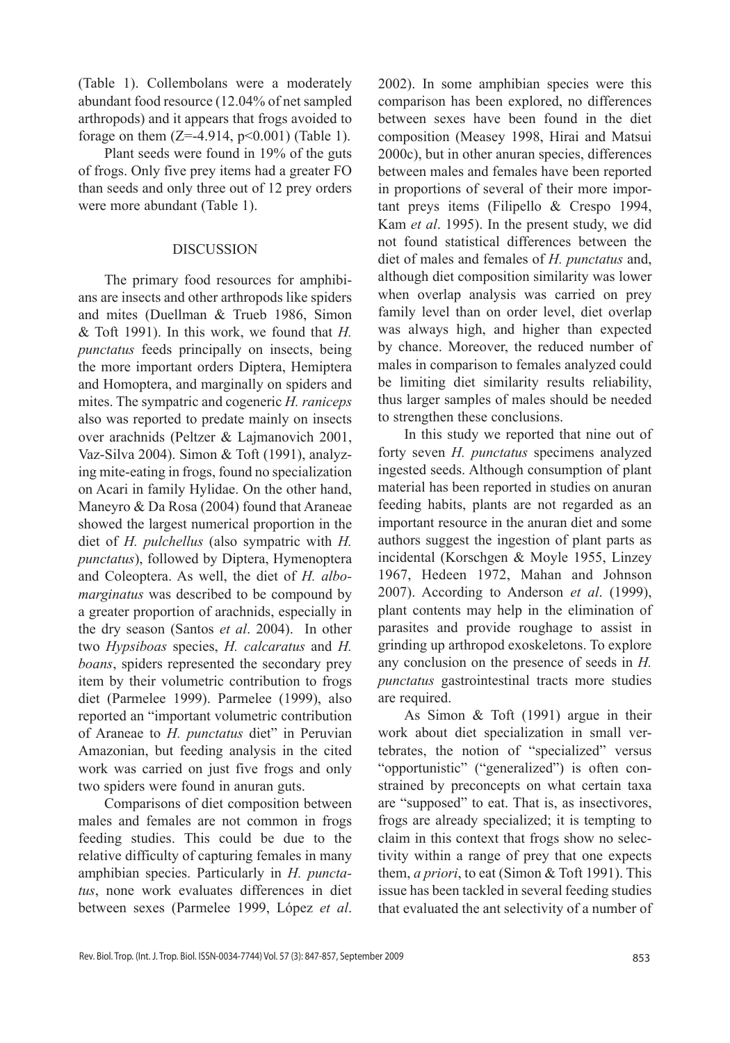(Table 1). Collembolans were a moderately abundant food resource (12.04% of net sampled arthropods) and it appears that frogs avoided to forage on them  $(Z=4.914, p<0.001)$  (Table 1).

Plant seeds were found in 19% of the guts of frogs. Only five prey items had a greater FO than seeds and only three out of 12 prey orders were more abundant (Table 1).

## DISCUSSION

The primary food resources for amphibians are insects and other arthropods like spiders and mites (Duellman & Trueb 1986, Simon & Toft 1991). In this work, we found that *H. punctatus* feeds principally on insects, being the more important orders Diptera, Hemiptera and Homoptera, and marginally on spiders and mites. The sympatric and cogeneric *H. raniceps* also was reported to predate mainly on insects over arachnids (Peltzer & Lajmanovich 2001, Vaz-Silva 2004). Simon & Toft (1991), analyzing mite-eating in frogs, found no specialization on Acari in family Hylidae. On the other hand, Maneyro & Da Rosa (2004) found that Araneae showed the largest numerical proportion in the diet of *H. pulchellus* (also sympatric with *H. punctatus*), followed by Diptera, Hymenoptera and Coleoptera. As well, the diet of *H. albomarginatus* was described to be compound by a greater proportion of arachnids, especially in the dry season (Santos *et al*. 2004). In other two *Hypsiboas* species, *H. calcaratus* and *H. boans*, spiders represented the secondary prey item by their volumetric contribution to frogs diet (Parmelee 1999). Parmelee (1999), also reported an "important volumetric contribution of Araneae to *H. punctatus* diet" in Peruvian Amazonian, but feeding analysis in the cited work was carried on just five frogs and only two spiders were found in anuran guts.

Comparisons of diet composition between males and females are not common in frogs feeding studies. This could be due to the relative difficulty of capturing females in many amphibian species. Particularly in *H. punctatus*, none work evaluates differences in diet between sexes (Parmelee 1999, López *et al*.

2002). In some amphibian species were this comparison has been explored, no differences between sexes have been found in the diet composition (Measey 1998, Hirai and Matsui 2000c), but in other anuran species, differences between males and females have been reported in proportions of several of their more important preys items (Filipello & Crespo 1994, Kam *et al*. 1995). In the present study, we did not found statistical differences between the diet of males and females of *H. punctatus* and, although diet composition similarity was lower when overlap analysis was carried on prey family level than on order level, diet overlap was always high, and higher than expected by chance. Moreover, the reduced number of males in comparison to females analyzed could be limiting diet similarity results reliability, thus larger samples of males should be needed to strengthen these conclusions.

In this study we reported that nine out of forty seven *H. punctatus* specimens analyzed ingested seeds. Although consumption of plant material has been reported in studies on anuran feeding habits, plants are not regarded as an important resource in the anuran diet and some authors suggest the ingestion of plant parts as incidental (Korschgen & Moyle 1955, Linzey 1967, Hedeen 1972, Mahan and Johnson 2007). According to Anderson *et al*. (1999), plant contents may help in the elimination of parasites and provide roughage to assist in grinding up arthropod exoskeletons. To explore any conclusion on the presence of seeds in *H. punctatus* gastrointestinal tracts more studies are required.

As Simon & Toft (1991) argue in their work about diet specialization in small vertebrates, the notion of "specialized" versus "opportunistic" ("generalized") is often constrained by preconcepts on what certain taxa are "supposed" to eat. That is, as insectivores, frogs are already specialized; it is tempting to claim in this context that frogs show no selectivity within a range of prey that one expects them, *a priori*, to eat (Simon & Toft 1991). This issue has been tackled in several feeding studies that evaluated the ant selectivity of a number of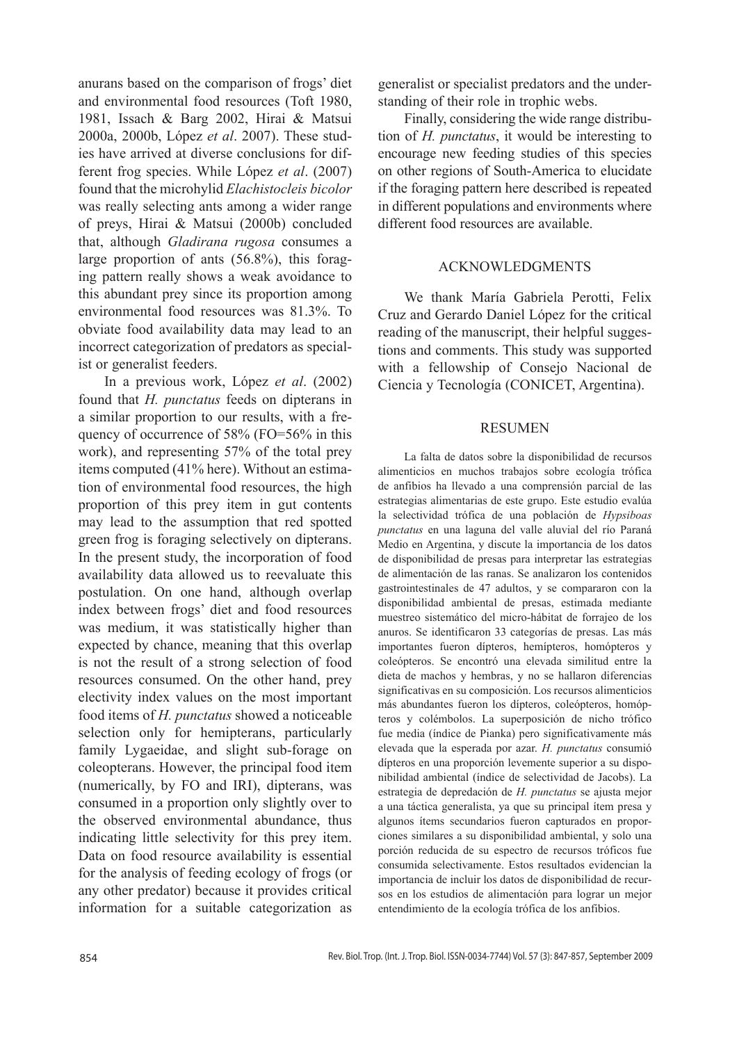anurans based on the comparison of frogs' diet and environmental food resources (Toft 1980, 1981, Issach & Barg 2002, Hirai & Matsui 2000a, 2000b, López *et al*. 2007). These studies have arrived at diverse conclusions for different frog species. While López *et al*. (2007) found that the microhylid *Elachistocleis bicolor* was really selecting ants among a wider range of preys, Hirai & Matsui (2000b) concluded that, although *Gladirana rugosa* consumes a large proportion of ants (56.8%), this foraging pattern really shows a weak avoidance to this abundant prey since its proportion among environmental food resources was 81.3%. To obviate food availability data may lead to an incorrect categorization of predators as specialist or generalist feeders.

In a previous work, López *et al*. (2002) found that *H. punctatus* feeds on dipterans in a similar proportion to our results, with a frequency of occurrence of 58% (FO=56% in this work), and representing 57% of the total prey items computed (41% here). Without an estimation of environmental food resources, the high proportion of this prey item in gut contents may lead to the assumption that red spotted green frog is foraging selectively on dipterans. In the present study, the incorporation of food availability data allowed us to reevaluate this postulation. On one hand, although overlap index between frogs' diet and food resources was medium, it was statistically higher than expected by chance, meaning that this overlap is not the result of a strong selection of food resources consumed. On the other hand, prey electivity index values on the most important food items of *H. punctatus* showed a noticeable selection only for hemipterans, particularly family Lygaeidae, and slight sub-forage on coleopterans. However, the principal food item (numerically, by FO and IRI), dipterans, was consumed in a proportion only slightly over to the observed environmental abundance, thus indicating little selectivity for this prey item. Data on food resource availability is essential for the analysis of feeding ecology of frogs (or any other predator) because it provides critical information for a suitable categorization as

generalist or specialist predators and the understanding of their role in trophic webs.

Finally, considering the wide range distribution of *H. punctatus*, it would be interesting to encourage new feeding studies of this species on other regions of South-America to elucidate if the foraging pattern here described is repeated in different populations and environments where different food resources are available.

## ACKNOWLEDGMENTS

We thank María Gabriela Perotti, Felix Cruz and Gerardo Daniel López for the critical reading of the manuscript, their helpful suggestions and comments. This study was supported with a fellowship of Consejo Nacional de Ciencia y Tecnología (CONICET, Argentina).

#### RESUMEN

La falta de datos sobre la disponibilidad de recursos alimenticios en muchos trabajos sobre ecología trófica de anfibios ha llevado a una comprensión parcial de las estrategias alimentarias de este grupo. Este estudio evalúa la selectividad trófica de una población de *Hypsiboas punctatus* en una laguna del valle aluvial del río Paraná Medio en Argentina, y discute la importancia de los datos de disponibilidad de presas para interpretar las estrategias de alimentación de las ranas. Se analizaron los contenidos gastrointestinales de 47 adultos, y se compararon con la disponibilidad ambiental de presas, estimada mediante muestreo sistemático del micro-hábitat de forrajeo de los anuros. Se identificaron 33 categorías de presas. Las más importantes fueron dípteros, hemípteros, homópteros y coleópteros. Se encontró una elevada similitud entre la dieta de machos y hembras, y no se hallaron diferencias significativas en su composición. Los recursos alimenticios más abundantes fueron los dípteros, coleópteros, homópteros y colémbolos. La superposición de nicho trófico fue media (índice de Pianka) pero significativamente más elevada que la esperada por azar. *H. punctatus* consumió dípteros en una proporción levemente superior a su disponibilidad ambiental (índice de selectividad de Jacobs). La estrategia de depredación de *H. punctatus* se ajusta mejor a una táctica generalista, ya que su principal ítem presa y algunos ítems secundarios fueron capturados en proporciones similares a su disponibilidad ambiental, y solo una porción reducida de su espectro de recursos tróficos fue consumida selectivamente. Estos resultados evidencian la importancia de incluir los datos de disponibilidad de recursos en los estudios de alimentación para lograr un mejor entendimiento de la ecología trófica de los anfibios.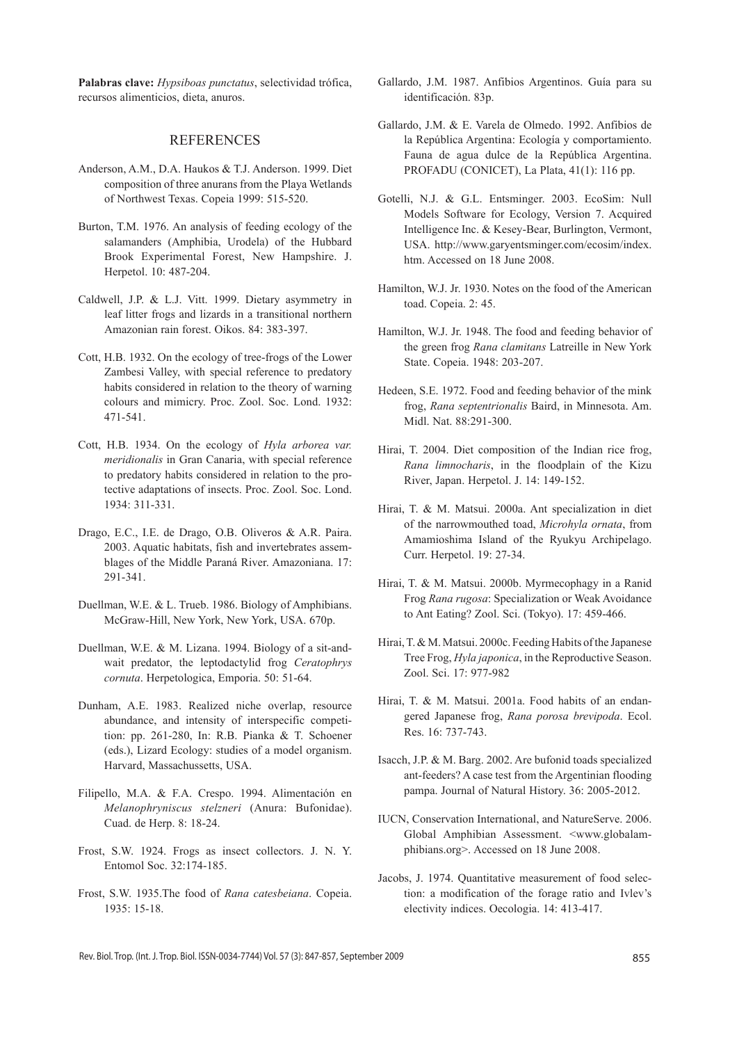**Palabras clave:** *Hypsiboas punctatus*, selectividad trófica, recursos alimenticios, dieta, anuros.

#### REFERENCES

- Anderson, A.M., D.A. Haukos & T.J. Anderson. 1999. Diet composition of three anurans from the Playa Wetlands of Northwest Texas. Copeia 1999: 515-520.
- Burton, T.M. 1976. An analysis of feeding ecology of the salamanders (Amphibia, Urodela) of the Hubbard Brook Experimental Forest, New Hampshire. J. Herpetol. 10: 487-204.
- Caldwell, J.P. & L.J. Vitt. 1999. Dietary asymmetry in leaf litter frogs and lizards in a transitional northern Amazonian rain forest. Oikos. 84: 383-397.
- Cott, H.B. 1932. On the ecology of tree-frogs of the Lower Zambesi Valley, with special reference to predatory habits considered in relation to the theory of warning colours and mimicry. Proc. Zool. Soc. Lond. 1932: 471-541.
- Cott, H.B. 1934. On the ecology of *Hyla arborea var. meridionalis* in Gran Canaria, with special reference to predatory habits considered in relation to the protective adaptations of insects. Proc. Zool. Soc. Lond. 1934: 311-331.
- Drago, E.C., I.E. de Drago, O.B. Oliveros & A.R. Paira. 2003. Aquatic habitats, fish and invertebrates assemblages of the Middle Paraná River. Amazoniana. 17: 291-341.
- Duellman, W.E. & L. Trueb. 1986. Biology of Amphibians. McGraw-Hill, New York, New York, USA. 670p.
- Duellman, W.E. & M. Lizana. 1994. Biology of a sit-andwait predator, the leptodactylid frog *Ceratophrys cornuta*. Herpetologica, Emporia. 50: 51-64.
- Dunham, A.E. 1983. Realized niche overlap, resource abundance, and intensity of interspecific competition: pp. 261-280, In: R.B. Pianka & T. Schoener (eds.), Lizard Ecology: studies of a model organism. Harvard, Massachussetts, USA.
- Filipello, M.A. & F.A. Crespo. 1994. Alimentación en *Melanophryniscus stelzneri* (Anura: Bufonidae). Cuad. de Herp. 8: 18-24.
- Frost, S.W. 1924. Frogs as insect collectors. J. N. Y. Entomol Soc. 32:174-185.
- Frost, S.W. 1935.The food of *Rana catesbeiana*. Copeia. 1935: 15-18.
- Gallardo, J.M. 1987. Anfibios Argentinos. Guía para su identificación. 83p.
- Gallardo, J.M. & E. Varela de Olmedo. 1992. Anfibios de la República Argentina: Ecología y comportamiento. Fauna de agua dulce de la República Argentina. PROFADU (CONICET), La Plata, 41(1): 116 pp.
- Gotelli, N.J. & G.L. Entsminger. 2003. EcoSim: Null Models Software for Ecology, Version 7. Acquired Intelligence Inc. & Kesey-Bear, Burlington, Vermont, USA. http://www.garyentsminger.com/ecosim/index. htm. Accessed on 18 June 2008.
- Hamilton, W.J. Jr. 1930. Notes on the food of the American toad. Copeia. 2: 45.
- Hamilton, W.J. Jr. 1948. The food and feeding behavior of the green frog *Rana clamitans* Latreille in New York State. Copeia. 1948: 203-207.
- Hedeen, S.E. 1972. Food and feeding behavior of the mink frog, *Rana septentrionalis* Baird, in Minnesota. Am. Midl. Nat. 88:291-300.
- Hirai, T. 2004. Diet composition of the Indian rice frog, *Rana limnocharis*, in the floodplain of the Kizu River, Japan. Herpetol. J. 14: 149-152.
- Hirai, T. & M. Matsui. 2000a. Ant specialization in diet of the narrowmouthed toad, *Microhyla ornata*, from Amamioshima Island of the Ryukyu Archipelago. Curr. Herpetol. 19: 27-34.
- Hirai, T. & M. Matsui. 2000b. Myrmecophagy in a Ranid Frog *Rana rugosa*: Specialization or Weak Avoidance to Ant Eating? Zool. Sci. (Tokyo). 17: 459-466.
- Hirai, T. & M. Matsui. 2000c. Feeding Habits of the Japanese Tree Frog, *Hyla japonica*, in the Reproductive Season. Zool. Sci. 17: 977-982
- Hirai, T. & M. Matsui. 2001a. Food habits of an endangered Japanese frog, *Rana porosa brevipoda*. Ecol. Res. 16: 737-743.
- Isacch, J.P. & M. Barg. 2002. Are bufonid toads specialized ant-feeders? A case test from the Argentinian flooding pampa. Journal of Natural History. 36: 2005-2012.
- IUCN, Conservation International, and NatureServe. 2006. Global Amphibian Assessment. <www.globalamphibians.org>. Accessed on 18 June 2008.
- Jacobs, J. 1974. Quantitative measurement of food selection: a modification of the forage ratio and Ivlev's electivity indices. Oecologia. 14: 413-417.

Rev. Biol. Trop. (Int. J. Trop. Biol. ISSN-0034-7744) Vol. 57 (3): 847-857, September 2009 855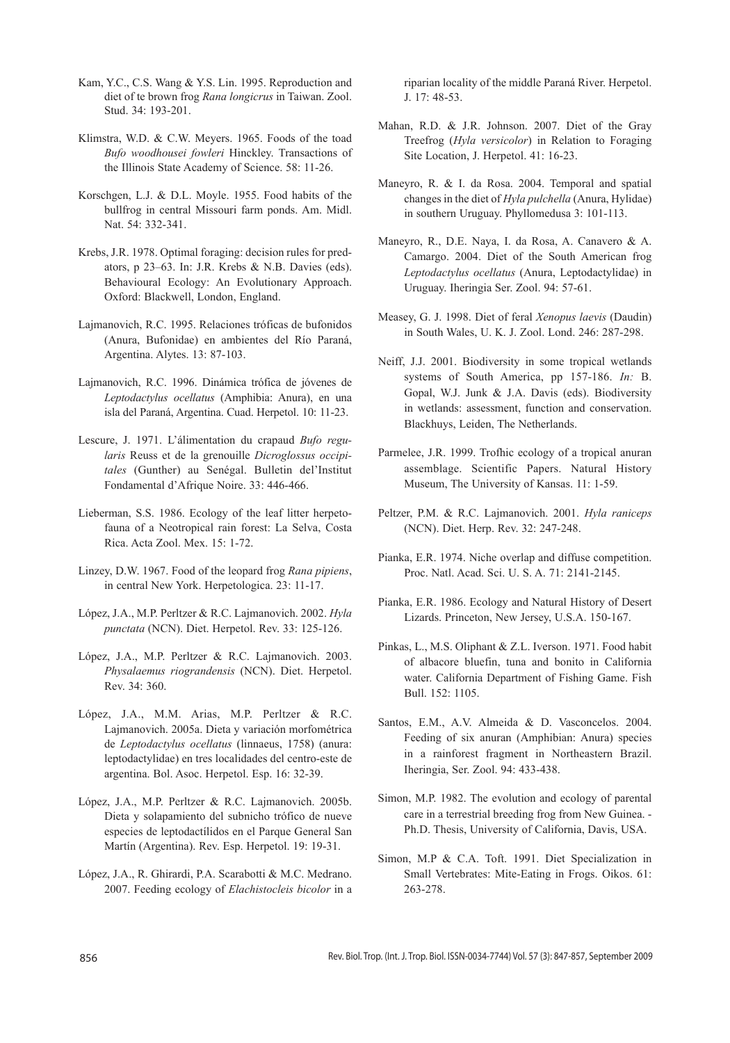- Kam, Y.C., C.S. Wang & Y.S. Lin. 1995. Reproduction and diet of te brown frog *Rana longicrus* in Taiwan. Zool. Stud. 34: 193-201.
- Klimstra, W.D. & C.W. Meyers. 1965. Foods of the toad *Bufo woodhousei fowleri* Hinckley. Transactions of the Illinois State Academy of Science. 58: 11-26.
- Korschgen, L.J. & D.L. Moyle. 1955. Food habits of the bullfrog in central Missouri farm ponds. Am. Midl. Nat. 54: 332-341.
- Krebs, J.R. 1978. Optimal foraging: decision rules for predators, p 23–63. In: J.R. Krebs & N.B. Davies (eds). Behavioural Ecology: An Evolutionary Approach. Oxford: Blackwell, London, England.
- Lajmanovich, R.C. 1995. Relaciones tróficas de bufonidos (Anura, Bufonidae) en ambientes del Río Paraná, Argentina. Alytes. 13: 87-103.
- Lajmanovich, R.C. 1996. Dinámica trófica de jóvenes de *Leptodactylus ocellatus* (Amphibia: Anura), en una isla del Paraná, Argentina. Cuad. Herpetol. 10: 11-23.
- Lescure, J. 1971. L'álimentation du crapaud *Bufo regularis* Reuss et de la grenouille *Dicroglossus occipitales* (Gunther) au Senégal. Bulletin del'Institut Fondamental d'Afrique Noire. 33: 446-466.
- Lieberman, S.S. 1986. Ecology of the leaf litter herpetofauna of a Neotropical rain forest: La Selva, Costa Rica. Acta Zool. Mex. 15: 1-72.
- Linzey, D.W. 1967. Food of the leopard frog *Rana pipiens*, in central New York. Herpetologica. 23: 11-17.
- López, J.A., M.P. Perltzer & R.C. Lajmanovich. 2002. *Hyla punctata* (NCN). Diet. Herpetol. Rev. 33: 125-126.
- López, J.A., M.P. Perltzer & R.C. Lajmanovich. 2003. *Physalaemus riograndensis* (NCN). Diet. Herpetol. Rev. 34: 360.
- López, J.A., M.M. Arias, M.P. Perltzer & R.C. Lajmanovich. 2005a. Dieta y variación morfométrica de *Leptodactylus ocellatus* (linnaeus, 1758) (anura: leptodactylidae) en tres localidades del centro-este de argentina. Bol. Asoc. Herpetol. Esp. 16: 32-39.
- López, J.A., M.P. Perltzer & R.C. Lajmanovich. 2005b. Dieta y solapamiento del subnicho trófico de nueve especies de leptodactílidos en el Parque General San Martín (Argentina). Rev. Esp. Herpetol. 19: 19-31.
- López, J.A., R. Ghirardi, P.A. Scarabotti & M.C. Medrano. 2007. Feeding ecology of *Elachistocleis bicolor* in a

riparian locality of the middle Paraná River. Herpetol. J. 17: 48-53.

- Mahan, R.D. & J.R. Johnson. 2007. Diet of the Gray Treefrog (*Hyla versicolor*) in Relation to Foraging Site Location, J. Herpetol. 41: 16-23.
- Maneyro, R. & I. da Rosa. 2004. Temporal and spatial changes in the diet of *Hyla pulchella* (Anura, Hylidae) in southern Uruguay. Phyllomedusa 3: 101-113.
- Maneyro, R., D.E. Naya, I. da Rosa, A. Canavero & A. Camargo. 2004. Diet of the South American frog *Leptodactylus ocellatus* (Anura, Leptodactylidae) in Uruguay. Iheringia Ser. Zool. 94: 57-61.
- Measey, G. J. 1998. Diet of feral *Xenopus laevis* (Daudin) in South Wales, U. K. J. Zool. Lond. 246: 287-298.
- Neiff, J.J. 2001. Biodiversity in some tropical wetlands systems of South America, pp 157-186. *In:* B. Gopal, W.J. Junk & J.A. Davis (eds). Biodiversity in wetlands: assessment, function and conservation. Blackhuys, Leiden, The Netherlands.
- Parmelee, J.R. 1999. Trofhic ecology of a tropical anuran assemblage. Scientific Papers. Natural History Museum, The University of Kansas. 11: 1-59.
- Peltzer, P.M. & R.C. Lajmanovich. 2001. *Hyla raniceps* (NCN). Diet. Herp. Rev. 32: 247-248.
- Pianka, E.R. 1974. Niche overlap and diffuse competition. Proc. Natl. Acad. Sci. U. S. A. 71: 2141-2145.
- Pianka, E.R. 1986. Ecology and Natural History of Desert Lizards. Princeton, New Jersey, U.S.A. 150-167.
- Pinkas, L., M.S. Oliphant & Z.L. Iverson. 1971. Food habit of albacore bluefin, tuna and bonito in California water. California Department of Fishing Game. Fish Bull. 152: 1105.
- Santos, E.M., A.V. Almeida & D. Vasconcelos. 2004. Feeding of six anuran (Amphibian: Anura) species in a rainforest fragment in Northeastern Brazil. Iheringia, Ser. Zool. 94: 433-438.
- Simon, M.P. 1982. The evolution and ecology of parental care in a terrestrial breeding frog from New Guinea. - Ph.D. Thesis, University of California, Davis, USA.
- Simon, M.P & C.A. Toft. 1991. Diet Specialization in Small Vertebrates: Mite-Eating in Frogs. Oikos. 61: 263-278.